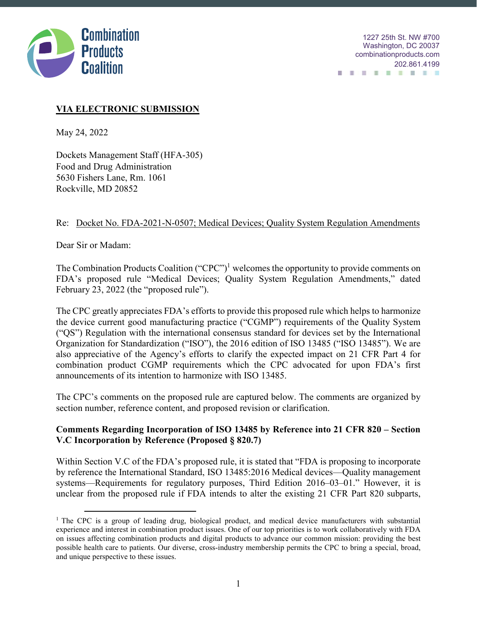

# **VIA ELECTRONIC SUBMISSION**

May 24, 2022

Dockets Management Staff (HFA-305) Food and Drug Administration 5630 Fishers Lane, Rm. 1061 Rockville, MD 20852

## Re: Docket No. FDA-2021-N-0507; Medical Devices; Quality System Regulation Amendments

Dear Sir or Madam:

The Combination Products Coalition  $("CPC")^1$  welcomes the opportunity to provide comments on FDA's proposed rule "Medical Devices; Quality System Regulation Amendments," dated February 23, 2022 (the "proposed rule").

The CPC greatly appreciates FDA's efforts to provide this proposed rule which helps to harmonize the device current good manufacturing practice ("CGMP") requirements of the Quality System ("QS") Regulation with the international consensus standard for devices set by the International Organization for Standardization ("ISO"), the 2016 edition of ISO 13485 ("ISO 13485"). We are also appreciative of the Agency's efforts to clarify the expected impact on 21 CFR Part 4 for combination product CGMP requirements which the CPC advocated for upon FDA's first announcements of its intention to harmonize with ISO 13485.

The CPC's comments on the proposed rule are captured below. The comments are organized by section number, reference content, and proposed revision or clarification.

## **Comments Regarding Incorporation of ISO 13485 by Reference into 21 CFR 820 – Section V.C Incorporation by Reference (Proposed § 820.7)**

Within Section V.C of the FDA's proposed rule, it is stated that "FDA is proposing to incorporate by reference the International Standard, ISO 13485:2016 Medical devices—Quality management systems—Requirements for regulatory purposes, Third Edition 2016–03–01." However, it is unclear from the proposed rule if FDA intends to alter the existing 21 CFR Part 820 subparts,

<sup>&</sup>lt;sup>1</sup> The CPC is a group of leading drug, biological product, and medical device manufacturers with substantial experience and interest in combination product issues. One of our top priorities is to work collaboratively with FDA on issues affecting combination products and digital products to advance our common mission: providing the best possible health care to patients. Our diverse, cross-industry membership permits the CPC to bring a special, broad, and unique perspective to these issues.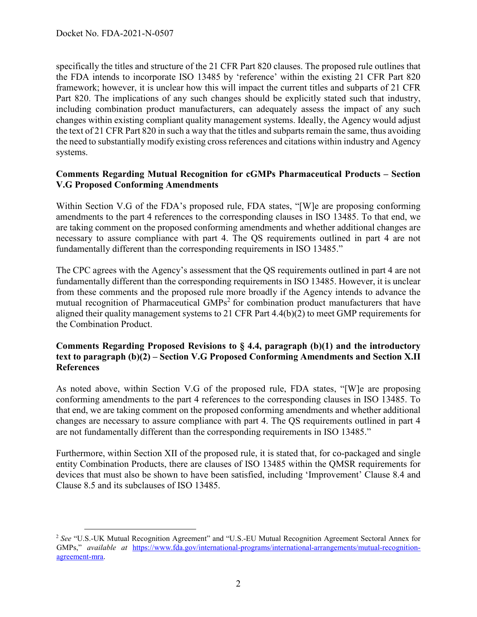specifically the titles and structure of the 21 CFR Part 820 clauses. The proposed rule outlines that the FDA intends to incorporate ISO 13485 by 'reference' within the existing 21 CFR Part 820 framework; however, it is unclear how this will impact the current titles and subparts of 21 CFR Part 820. The implications of any such changes should be explicitly stated such that industry, including combination product manufacturers, can adequately assess the impact of any such changes within existing compliant quality management systems. Ideally, the Agency would adjust the text of 21 CFR Part 820 in such a way that the titles and subparts remain the same, thus avoiding the need to substantially modify existing cross references and citations within industry and Agency systems.

#### **Comments Regarding Mutual Recognition for cGMPs Pharmaceutical Products – Section V.G Proposed Conforming Amendments**

Within Section V.G of the FDA's proposed rule, FDA states, "[W]e are proposing conforming amendments to the part 4 references to the corresponding clauses in ISO 13485. To that end, we are taking comment on the proposed conforming amendments and whether additional changes are necessary to assure compliance with part 4. The QS requirements outlined in part 4 are not fundamentally different than the corresponding requirements in ISO 13485."

The CPC agrees with the Agency's assessment that the QS requirements outlined in part 4 are not fundamentally different than the corresponding requirements in ISO 13485. However, it is unclear from these comments and the proposed rule more broadly if the Agency intends to advance the mutual recognition of Pharmaceutical GMPs<sup>2</sup> for combination product manufacturers that have aligned their quality management systems to 21 CFR Part 4.4(b)(2) to meet GMP requirements for the Combination Product.

#### **Comments Regarding Proposed Revisions to § 4.4, paragraph (b)(1) and the introductory text to paragraph (b)(2) – Section V.G Proposed Conforming Amendments and Section X.II References**

As noted above, within Section V.G of the proposed rule, FDA states, "[W]e are proposing conforming amendments to the part 4 references to the corresponding clauses in ISO 13485. To that end, we are taking comment on the proposed conforming amendments and whether additional changes are necessary to assure compliance with part 4. The QS requirements outlined in part 4 are not fundamentally different than the corresponding requirements in ISO 13485."

Furthermore, within Section XII of the proposed rule, it is stated that, for co-packaged and single entity Combination Products, there are clauses of ISO 13485 within the QMSR requirements for devices that must also be shown to have been satisfied, including 'Improvement' Clause 8.4 and Clause 8.5 and its subclauses of ISO 13485.

 <sup>2</sup> *See* "U.S.-UK Mutual Recognition Agreement" and "U.S.-EU Mutual Recognition Agreement Sectoral Annex for GMPs," *available at https://www.fda.gov/international-programs/international-arrangements/mutual-recognition*agreement-mra.